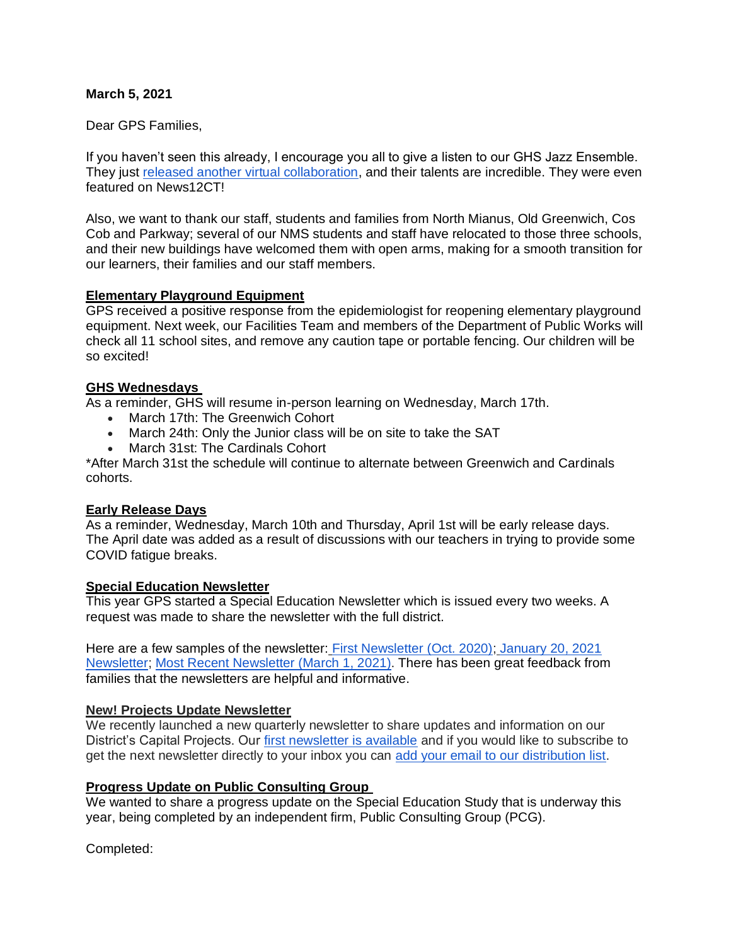## **March 5, 2021**

Dear GPS Families,

If you haven't seen this already, I encourage you all to give a listen to our GHS Jazz Ensemble. They just [released another virtual collaboration,](https://youtu.be/haEjObHgyVw) and their talents are incredible. They were even featured on News12CT!

Also, we want to thank our staff, students and families from North Mianus, Old Greenwich, Cos Cob and Parkway; several of our NMS students and staff have relocated to those three schools, and their new buildings have welcomed them with open arms, making for a smooth transition for our learners, their families and our staff members.

## **Elementary Playground Equipment**

GPS received a positive response from the epidemiologist for reopening elementary playground equipment. Next week, our Facilities Team and members of the Department of Public Works will check all 11 school sites, and remove any caution tape or portable fencing. Our children will be so excited!

## **GHS Wednesdays**

As a reminder, GHS will resume in-person learning on Wednesday, March 17th.

- March 17th: The Greenwich Cohort
- March 24th: Only the Junior class will be on site to take the SAT
- March 31st: The Cardinals Cohort

\*After March 31st the schedule will continue to alternate between Greenwich and Cardinals cohorts.

### **Early Release Days**

As a reminder, Wednesday, March 10th and Thursday, April 1st will be early release days. The April date was added as a result of discussions with our teachers in trying to provide some COVID fatigue breaks.

### **Special Education Newsletter**

This year GPS started a Special Education Newsletter which is issued every two weeks. A request was made to share the newsletter with the full district.

Here are a few samples of the newsletter: [First Newsletter \(Oct. 2020\);](https://www.smore.com/ytfnk) [January 20, 2021](https://www.smore.com/zbgpwk-pps-and-special-education-updates)  [Newsletter;](https://www.smore.com/zbgpwk-pps-and-special-education-updates) [Most Recent Newsletter \(March 1, 2021\).](https://www.smore.com/byte1-pps-and-special-education-updates?ref=email-content#w-5719553134) There has been great feedback from families that the newsletters are helpful and informative.

### **New! Projects Update Newsletter**

We recently launched a new quarterly newsletter to share updates and information on our District's Capital Projects. Our [first newsletter is available](https://www.smore.com/v62m4) and if you would like to subscribe to get the next newsletter directly to your inbox you can [add your email to our distribution list.](https://www.greenwichschools.org/departments/facilities-rentals/building-grounds-projects/gps-capital-projects-newsletter)

# **Progress Update on Public Consulting Group**

We wanted to share a progress update on the Special Education Study that is underway this year, being completed by an independent firm, Public Consulting Group (PCG).

Completed: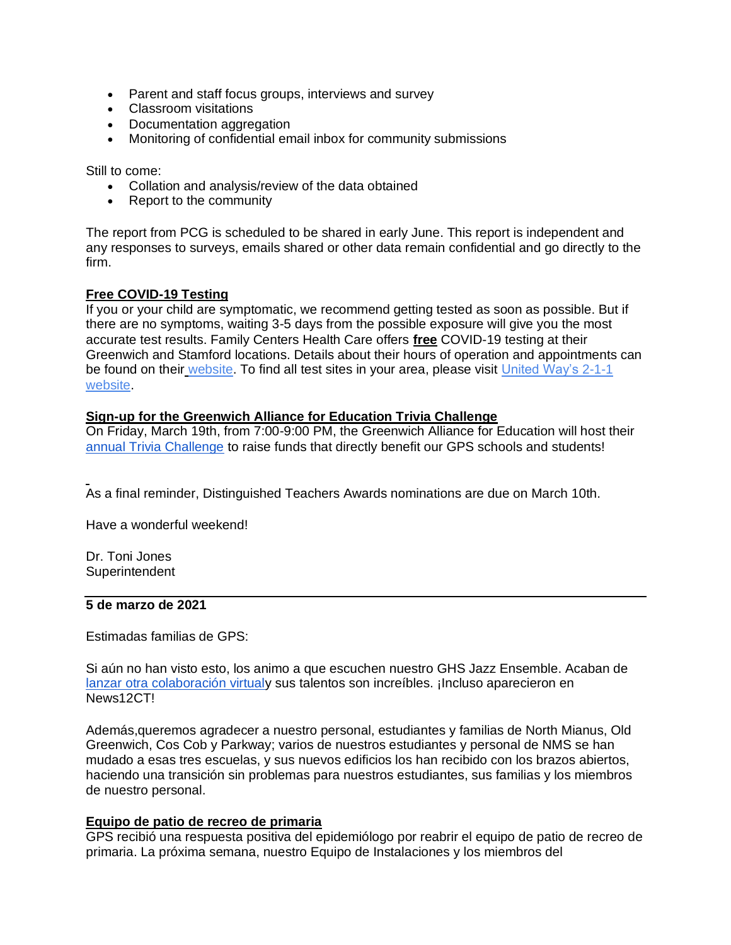- Parent and staff focus groups, interviews and survey
- Classroom visitations
- Documentation aggregation
- Monitoring of confidential email inbox for community submissions

Still to come:

- Collation and analysis/review of the data obtained
- Report to the community

The report from PCG is scheduled to be shared in early June. This report is independent and any responses to surveys, emails shared or other data remain confidential and go directly to the firm.

## **Free COVID-19 Testing**

If you or your child are symptomatic, we recommend getting tested as soon as possible. But if there are no symptoms, waiting 3-5 days from the possible exposure will give you the most accurate test results. Family Centers Health Care offers **free** COVID-19 testing at their Greenwich and Stamford locations. Details about their hours of operation and appointments can be found on their [website.](https://www.familycenters.org/FamilyCentersHealthCare) To find all test sites in your area, please visit United Way's [2-1-1](https://www.211ct.org/)  [website.](https://www.211ct.org/)

## **Sign-up for the Greenwich Alliance for Education Trivia Challenge**

On Friday, March 19th, from 7:00-9:00 PM, the Greenwich Alliance for Education will host their [annual Trivia Challenge](https://greenwichalliance.org/trivia-challenge/) to raise funds that directly benefit our GPS schools and students!

As a final reminder, Distinguished Teachers Awards nominations are due on March 10th.

Have a wonderful weekend!

Dr. Toni Jones **Superintendent** 

### **5 de marzo de 2021**

Estimadas familias de GPS:

Si aún no han visto esto, los animo a que escuchen nuestro GHS Jazz Ensemble. Acaban de [lanzar otra colaboración virtualy](https://youtu.be/haEjObHgyVw) sus talentos son increíbles. ¡Incluso aparecieron en News12CT!

Además,queremos agradecer a nuestro personal, estudiantes y familias de North Mianus, Old Greenwich, Cos Cob y Parkway; varios de nuestros estudiantes y personal de NMS se han mudado a esas tres escuelas, y sus nuevos edificios los han recibido con los brazos abiertos, haciendo una transición sin problemas para nuestros estudiantes, sus familias y los miembros de nuestro personal.

### **Equipo de patio de recreo de primaria**

GPS recibió una respuesta positiva del epidemiólogo por reabrir el equipo de patio de recreo de primaria. La próxima semana, nuestro Equipo de Instalaciones y los miembros del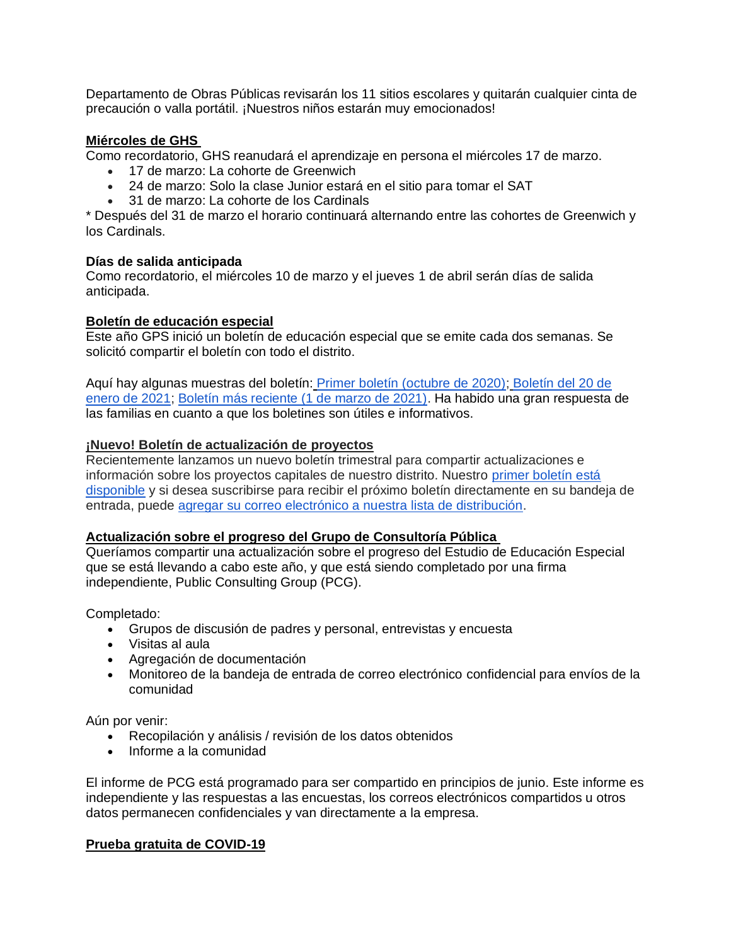Departamento de Obras Públicas revisarán los 11 sitios escolares y quitarán cualquier cinta de precaución o valla portátil. ¡Nuestros niños estarán muy emocionados!

# **Miércoles de GHS**

Como recordatorio, GHS reanudará el aprendizaje en persona el miércoles 17 de marzo.

- 17 de marzo: La cohorte de Greenwich
- 24 de marzo: Solo la clase Junior estará en el sitio para tomar el SAT
- 31 de marzo: La cohorte de los Cardinals

\* Después del 31 de marzo el horario continuará alternando entre las cohortes de Greenwich y los Cardinals.

## **Días de salida anticipada**

Como recordatorio, el miércoles 10 de marzo y el jueves 1 de abril serán días de salida anticipada.

## **Boletín de educación especial**

Este año GPS inició un boletín de educación especial que se emite cada dos semanas. Se solicitó compartir el boletín con todo el distrito.

Aquí hay algunas muestras del boletín: [Primer boletín \(octubre de 2020\);](https://www.smore.com/ytfnk) [Boletín del 20 de](https://www.smore.com/zbgpwk-pps-and-special-education-updates)  [enero de 2021;](https://www.smore.com/zbgpwk-pps-and-special-education-updates) [Boletín más reciente \(1 de marzo de 2021\).](https://www.smore.com/byte1-pps-and-special-education-updates?ref=email-content#w-5719553134) Ha habido una gran respuesta de las familias en cuanto a que los boletines son útiles e informativos.

## **¡Nuevo! Boletín de actualización de proyectos**

Recientemente lanzamos un nuevo boletín trimestral para compartir actualizaciones e información sobre los proyectos capitales de nuestro distrito. Nuestro [primer boletín está](https://www.smore.com/v62m4)  [disponible](https://www.smore.com/v62m4) y si desea suscribirse para recibir el próximo boletín directamente en su bandeja de entrada, puede [agregar su correo electrónico a nuestra lista de distribución.](https://www.greenwichschools.org/departments/facilities-rentals/building-grounds-projects/gps-capital-projects-newsletter)

# **Actualización sobre el progreso del Grupo de Consultoría Pública**

Queríamos compartir una actualización sobre el progreso del Estudio de Educación Especial que se está llevando a cabo este año, y que está siendo completado por una firma independiente, Public Consulting Group (PCG).

Completado:

- Grupos de discusión de padres y personal, entrevistas y encuesta
- Visitas al aula
- Agregación de documentación
- Monitoreo de la bandeja de entrada de correo electrónico confidencial para envíos de la comunidad

Aún por venir:

- Recopilación y análisis / revisión de los datos obtenidos
- Informe a la comunidad

El informe de PCG está programado para ser compartido en principios de junio. Este informe es independiente y las respuestas a las encuestas, los correos electrónicos compartidos u otros datos permanecen confidenciales y van directamente a la empresa.

# **Prueba gratuita de COVID-19**